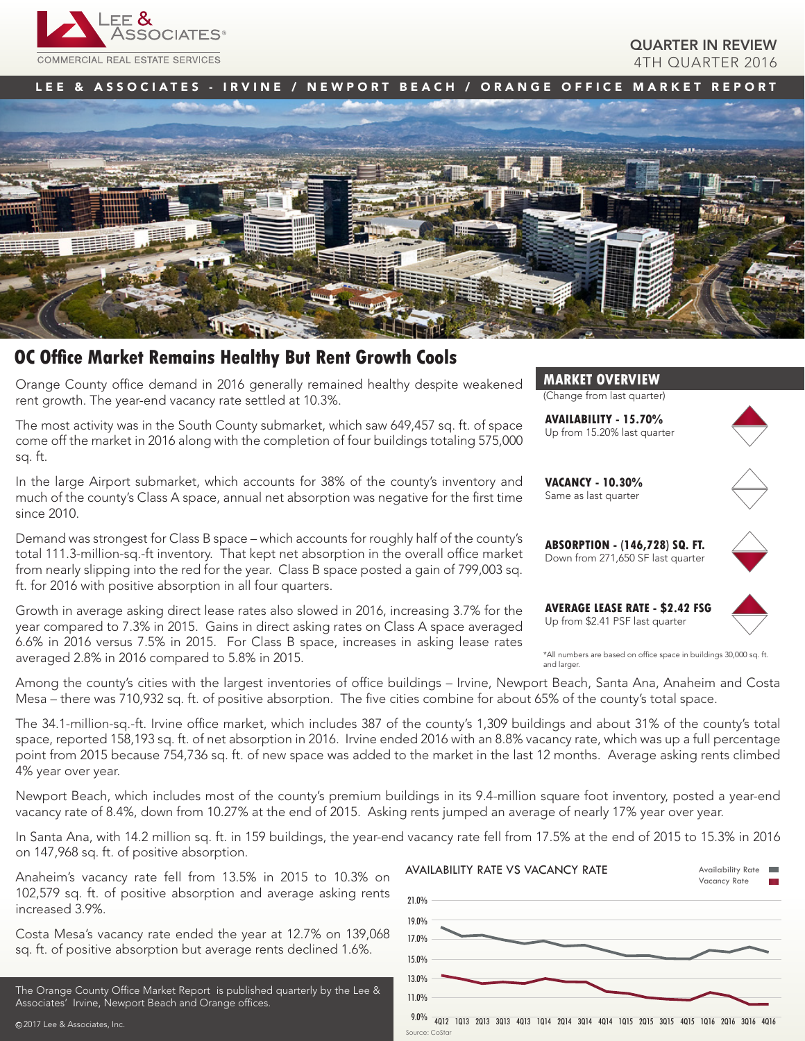

## QUARTER IN REVIEW 4TH QUARTER 2016

LEE & ASSOCIATES - IRVINE / NEWPORT BEACH / ORANGE OFFICE MARKET REPORT



# **OC Office Market Remains Healthy But Rent Growth Cools**

Orange County office demand in 2016 generally remained healthy despite weakened rent growth. The year-end vacancy rate settled at 10.3%.

The most activity was in the South County submarket, which saw 649,457 sq. ft. of space come off the market in 2016 along with the completion of four buildings totaling 575,000 sq. ft.

In the large Airport submarket, which accounts for 38% of the county's inventory and much of the county's Class A space, annual net absorption was negative for the first time since 2010.

Demand was strongest for Class B space – which accounts for roughly half of the county's total 111.3-million-sq.-ft inventory. That kept net absorption in the overall office market from nearly slipping into the red for the year. Class B space posted a gain of 799,003 sq. ft. for 2016 with positive absorption in all four quarters.

Growth in average asking direct lease rates also slowed in 2016, increasing 3.7% for the year compared to 7.3% in 2015. Gains in direct asking rates on Class A space averaged 6.6% in 2016 versus 7.5% in 2015. For Class B space, increases in asking lease rates averaged 2.8% in 2016 compared to 5.8% in 2015.

## **MARKET OVERVIEW**

(Change from last quarter)

**AVAILABILITY - 15.70%** Up from 15.20% last quarter



**VACANCY - 10.30%** Same as last quarter



**ABSORPTION - (146,728) SQ. FT.** Down from 271,650 SF last quarter

**AVERAGE LEASE RATE - \$2.42 FSG** Up from \$2.41 PSF last quarter



\*All numbers are based on office space in buildings 30,000 sq. ft. and larger

Among the county's cities with the largest inventories of office buildings – Irvine, Newport Beach, Santa Ana, Anaheim and Costa Mesa – there was 710,932 sq. ft. of positive absorption. The five cities combine for about 65% of the county's total space.

The 34.1-million-sq.-ft. Irvine office market, which includes 387 of the county's 1,309 buildings and about 31% of the county's total space, reported 158,193 sq. ft. of net absorption in 2016. Irvine ended 2016 with an 8.8% vacancy rate, which was up a full percentage point from 2015 because 754,736 sq. ft. of new space was added to the market in the last 12 months. Average asking rents climbed 4% year over year.

Newport Beach, which includes most of the county's premium buildings in its 9.4-million square foot inventory, posted a year-end vacancy rate of 8.4%, down from 10.27% at the end of 2015. Asking rents jumped an average of nearly 17% year over year.

In Santa Ana, with 14.2 million sq. ft. in 159 buildings, the year-end vacancy rate fell from 17.5% at the end of 2015 to 15.3% in 2016 on 147,968 sq. ft. of positive absorption.

Anaheim's vacancy rate fell from 13.5% in 2015 to 10.3% on 102,579 sq. ft. of positive absorption and average asking rents increased 3.9%.

Costa Mesa's vacancy rate ended the year at 12.7% on 139,068 sq. ft. of positive absorption but average rents declined 1.6%.

The Orange County Office Market Report is published quarterly by the Lee & Associates' Irvine, Newport Beach and Orange offices.

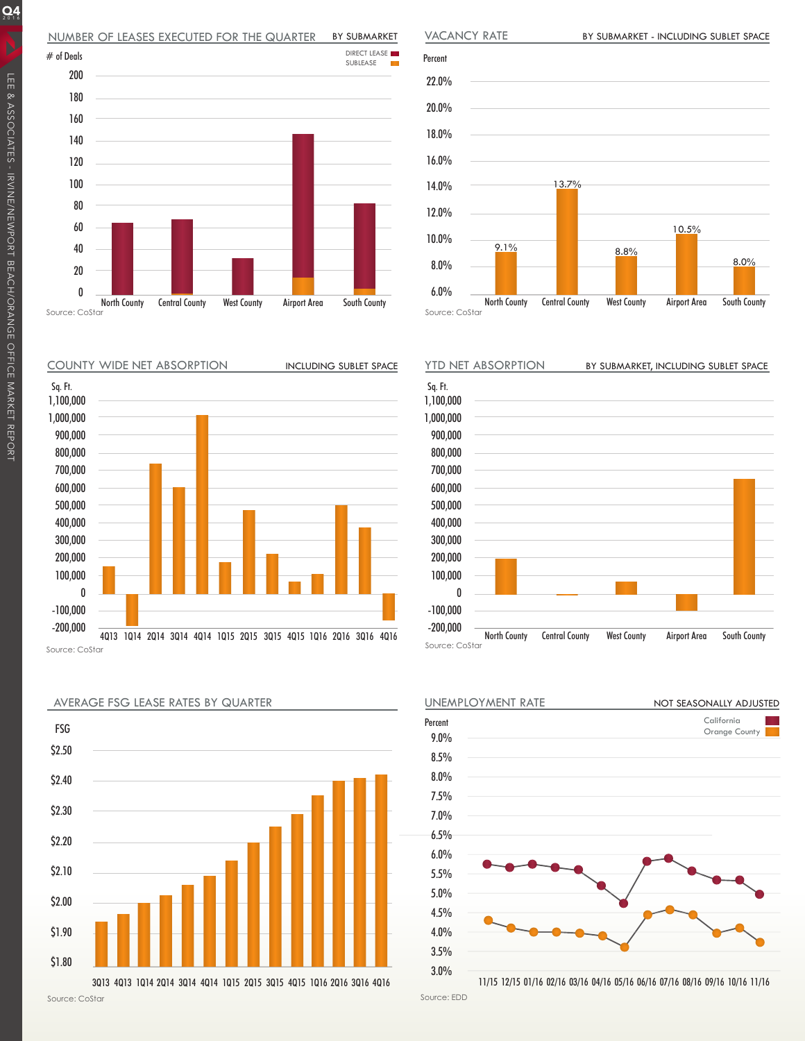#### NUMBER OF LEASES EXECUTED FOR THE QUARTER BY SUBMARKET



COUNTY WIDE NET ABSORPTION





BY SUBMARKET - INCLUDING SUBLET SPACE

INCLUDING SUBLET SPACE YTD NET ABSORPTION BY SUBMARKET, INCLUDING SUBLET SPACE 1,100,000 1,000,000 900,000 800,000 700,000 600,000 500,000 400,000 300,000 200,000 100,000 0 -100,000 -200,000 Sq. Ft.

VACANCY RATE



11/15 12/15 01/16 02/16 03/16 04/16 05/16 06/16 07/16 08/16 09/16 10/16 11/16

Source: EDD

Percent 22.0% 20.0% 18.0% 16.0% 14.0% 12.0% 10.0% 8.0% 6.0% North County Central County West County Airport Area South County Source: CoStar 9.1% 8.8% 8.0% 10.5% 13.7%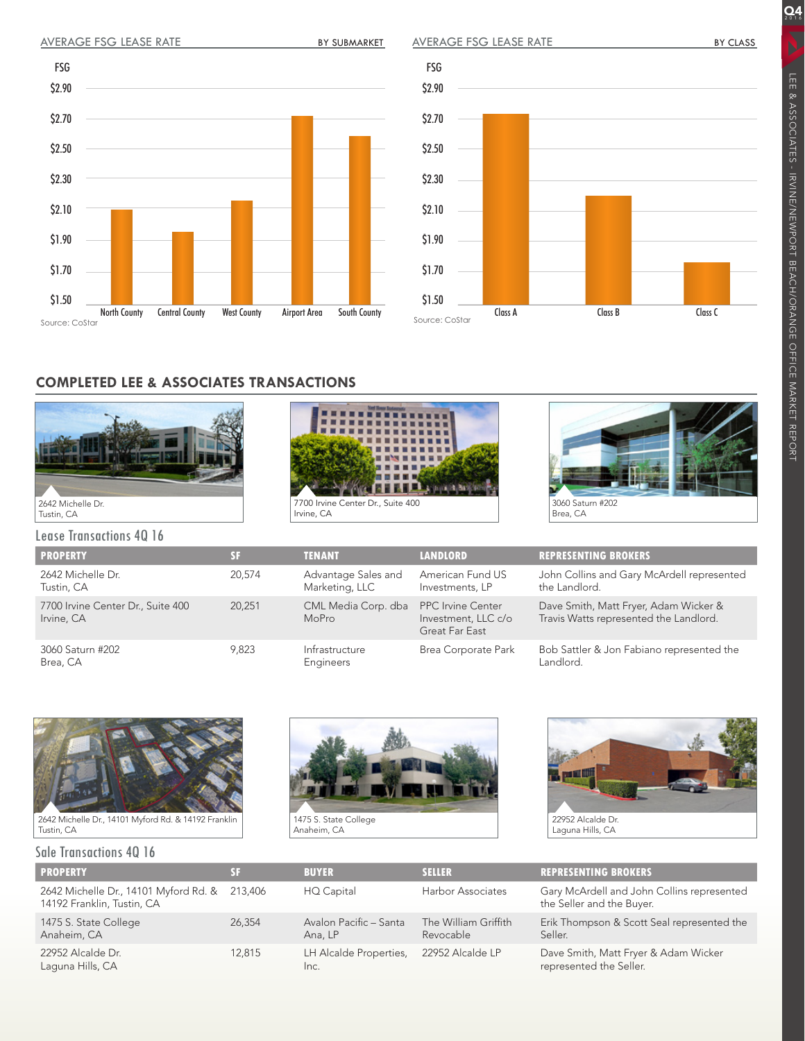\$2.90

FSG

\$2.70

\$2.50

\$2.30

\$2.10

\$1.90

\$1.70

\$1.50

Source: CoStar

AVERAGE FSG LEASE RATE



## **COMPLETED LEE & ASSOCIATES TRANSACTIONS**

North County Central County West County Airport Area South County





Source: CoStar

\$2.90

FSG

\$2.70

\$2.50

\$2.30

\$2.10

\$1.90

\$1.70

\$1.50



Lease Transactions 4Q 16

| <b>PROPERTY</b>                                 | SF     | <b>TENANT</b>                         |
|-------------------------------------------------|--------|---------------------------------------|
| 2642 Michelle Dr.<br>Tustin, CA                 | 20,574 | Advantage Sales and<br>Marketing, LLC |
| 7700 Irvine Center Dr., Suite 400<br>Irvine, CA | 20,251 | CML Media Corp. dba<br>MoPro          |
| 3060 Saturn #202<br>Brea, CA                    | 9.823  | Infrastructure<br>Engineers           |





2642 Michelle Dr., 14101 Myford Rd. & 14192 Franklin Tustin, CA

Sale Transactions 4Q 16





| <b>PROPERTY</b>                                                             | SF     | <b>BUYER</b>                      | <b>SELLER</b>                     | <b>REPRESENTING BROKERS</b>                                             |
|-----------------------------------------------------------------------------|--------|-----------------------------------|-----------------------------------|-------------------------------------------------------------------------|
| 2642 Michelle Dr., 14101 Myford Rd. & 213,406<br>14192 Franklin, Tustin, CA |        | HQ Capital                        | Harbor Associates                 | Gary McArdell and John Collins represented<br>the Seller and the Buyer. |
| 1475 S. State College<br>Anaheim, CA                                        | 26,354 | Avalon Pacific - Santa<br>Ana, LP | The William Griffith<br>Revocable | Erik Thompson & Scott Seal represented the<br>Seller.                   |
| 22952 Alcalde Dr.<br>Laguna Hills, CA                                       | 12.815 | LH Alcalde Properties,<br>Inc.    | 22952 Alcalde LP                  | Dave Smith, Matt Fryer & Adam Wicker<br>represented the Seller.         |

 $\overline{Q4}$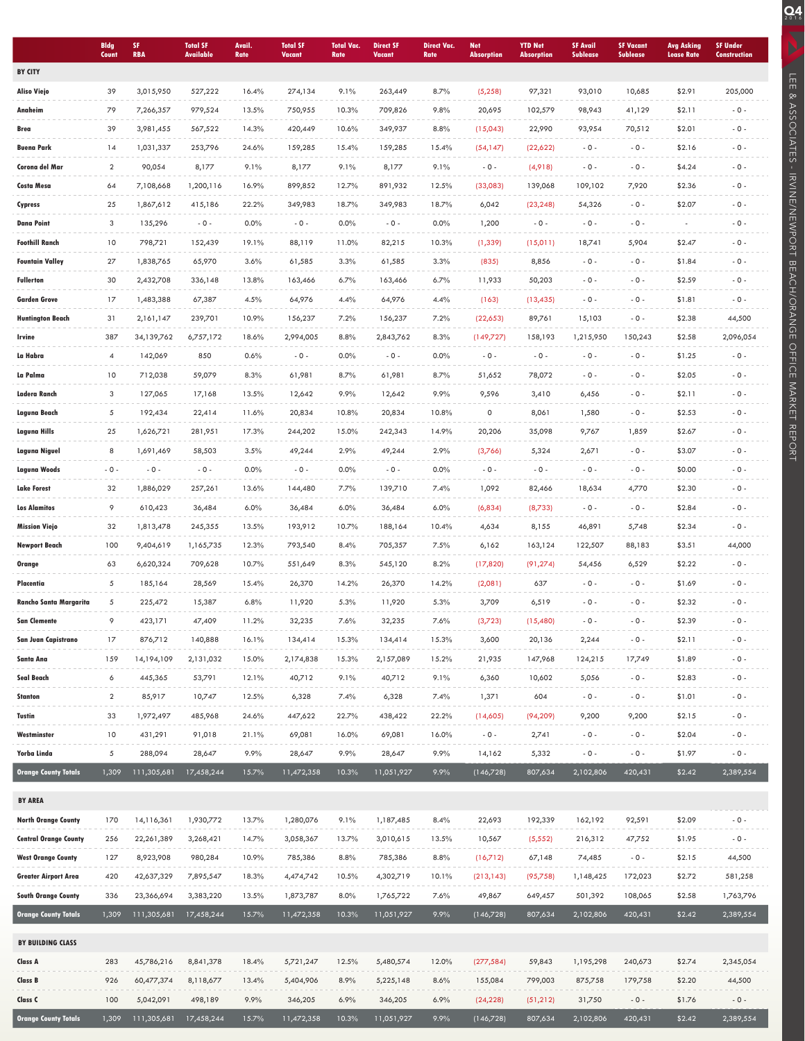|                              | <b>Bldg</b><br>Count | SF.<br><b>RBA</b> | <b>Total SF</b><br><b>Available</b> | Avail.<br>Rate | <b>Total SF</b><br>Vacant | <b>Total Vac.</b><br>Rate | <b>Direct SF</b><br><b>Vacant</b> | <b>Direct Vac.</b><br>Rate | <b>Net</b><br><b>Absorption</b> | <b>YTD Net</b><br><b>Absorption</b> | <b>SF Avail</b><br><b>Sublease</b> | <b>SF Vacant</b><br><b>Sublease</b> | <b>Avg Asking</b><br><b>Lease Rate</b> | <b>SF Under</b><br><b>Construction</b> |
|------------------------------|----------------------|-------------------|-------------------------------------|----------------|---------------------------|---------------------------|-----------------------------------|----------------------------|---------------------------------|-------------------------------------|------------------------------------|-------------------------------------|----------------------------------------|----------------------------------------|
| <b>BY CITY</b>               |                      |                   |                                     |                |                           |                           |                                   |                            |                                 |                                     |                                    |                                     |                                        |                                        |
| <b>Aliso Viejo</b>           | 39                   | 3,015,950         | 527,222                             | 16.4%          | 274,134                   | 9.1%                      | 263,449                           | 8.7%                       | (5, 258)                        | 97,321                              | 93,010                             | 10,685                              | \$2.91                                 | 205,000                                |
| Anaheim                      | 79                   | 7,266,357         | 979,524                             | 13.5%          | 750,955                   | 10.3%                     | 709,826                           | 9.8%                       | 20,695                          | 102,579                             | 98,943                             | 41,129                              | \$2.11                                 | $-0 -$                                 |
| Brea                         | 39                   | 3,981,455         | 567,522                             | 14.3%          | 420,449                   | 10.6%                     | 349,937                           | 8.8%                       | (15,043)                        | 22,990                              | 93,954                             | 70,512                              | \$2.01                                 | $-0 -$                                 |
| <b>Buena Park</b>            | 14                   | 1,031,337         | 253,796                             | 24.6%          | 159,285                   | 15.4%                     | 159,285                           | 15.4%                      | (54, 147)                       | (22,622)                            | $-0 -$                             | $-0 -$                              | \$2.16                                 | $-0 -$                                 |
| Corona del Mar               | $\overline{2}$       | 90,054            | 8,177                               | 9.1%           | 8,177                     | 9.1%                      | 8,177                             | 9.1%                       | $-0 -$                          | (4,918)                             | $-0 -$                             | $-0 -$                              | \$4.24                                 | $-0 -$                                 |
| <b>Costa Mesa</b>            | 64                   | 7,108,668         | 1,200,116                           | 16.9%          | 899,852                   | 12.7%                     | 891,932                           | 12.5%                      | (33,083)                        | 139,068                             | 109,102                            | 7,920                               | \$2.36                                 | $-0 -$                                 |
| Cypress                      | 25                   | 1,867,612         | 415,186                             | 22.2%          | 349,983                   | 18.7%                     | 349,983                           | 18.7%                      | 6,042                           | (23, 248)                           | 54,326                             | $-0 -$                              | \$2.07                                 | $-0 -$                                 |
| <b>Dana Point</b>            | 3                    | 135,296           | $-0 -$                              | 0.0%           | $-0 -$                    | 0.0%                      | $-0 -$                            | 0.0%                       | 1,200                           | $-0 -$                              | $-0 -$                             | $-0 -$                              |                                        | $-0 -$                                 |
| <b>Foothill Ranch</b>        | 10                   | 798,721           | 152,439                             | 19.1%          | 88,119                    | 11.0%                     | 82,215                            | 10.3%                      | (1, 339)                        | (15, 011)                           | 18,741                             | 5,904                               | \$2.47                                 | $-0 -$                                 |
| <b>Fountain Valley</b>       | 27                   | 1,838,765         | 65,970                              | 3.6%           | 61,585                    | 3.3%                      | 61,585                            | 3.3%                       | (835)                           | 8,856                               | $-0 -$                             | $-0 -$                              | \$1.84                                 | $-0 -$                                 |
| <b>Fullerton</b>             | 30                   | 2,432,708         | 336,148                             | 13.8%          | 163,466                   | 6.7%                      | 163,466                           | 6.7%                       | 11,933                          | 50,203                              | $-0 -$                             | $-0 -$                              | \$2.59                                 | $-0 -$                                 |
| <b>Garden Grove</b>          | 17                   | 1,483,388         | 67,387                              | 4.5%           | 64,976                    | 4.4%                      | 64,976                            | 4.4%                       | (163)                           | (13, 435)                           | $-0 -$                             | $-0 -$                              | \$1.81                                 | $-0 -$                                 |
| Huntington Beach             | 31                   | 2,161,147         | 239,701                             | 10.9%          | 156,237                   | 7.2%                      | 156,237                           | 7.2%                       | (22,653)                        | 89,761                              | 15,103                             | $-0 -$                              | \$2.38                                 | 44,500                                 |
| Irvine                       | 387                  | 34,139,762        | 6,757,172                           | 18.6%          | 2,994,005                 | 8.8%                      | 2,843,762                         | 8.3%                       | (149,727)                       | 158,193                             | 1,215,950                          | 150,243                             | \$2.58                                 | 2,096,054                              |
| La Habra                     | 4                    | 142,069           | 850                                 | 0.6%           | $-0 -$                    | 0.0%                      | $-0 -$                            | 0.0%                       | $-0 -$                          | $-0 -$                              | $-0 -$                             | $-0 -$                              | \$1.25                                 | $-0 -$                                 |
| La Palma                     | 10                   | 712,038           | 59,079                              | 8.3%           | 61,981                    | 8.7%                      | 61,981                            | 8.7%                       | 51,652                          | 78,072                              | $-0 -$                             | $-0 -$                              | \$2.05                                 | $-0 -$                                 |
| Ladera Ranch                 | 3                    | 127,065           | 17,168                              | 13.5%          |                           | 9.9%                      |                                   | 9.9%                       | 9,596                           | 3,410                               | 6,456                              | $-0 -$                              | \$2.11                                 | $-0 -$                                 |
|                              |                      | 192,434           |                                     |                | 12,642                    |                           | 12,642                            | 10.8%                      | $\circ$                         |                                     |                                    | $-0 -$                              | \$2.53                                 | $-0 -$                                 |
| Laguna Beach                 | 5                    |                   | 22,414                              | 11.6%          | 20,834                    | 10.8%                     | 20,834                            |                            |                                 | 8,061                               | 1,580                              |                                     |                                        |                                        |
| Laguna Hills                 | 25                   | 1,626,721         | 281,951                             | 17.3%          | 244,202                   | 15.0%                     | 242,343                           | 14.9%                      | 20,206                          | 35,098                              | 9,767                              | 1,859                               | \$2.67                                 | $-0 -$                                 |
| Laguna Niguel                | 8                    | 1,691,469         | 58,503                              | 3.5%           | 49,244                    | 2.9%                      | 49,244                            | 2.9%                       | (3,766)                         | 5,324                               | 2,671                              | $-0 -$                              | \$3.07                                 | $-0 -$                                 |
| <b>Laguna Woods</b>          | $-0 -$               | $-0 -$            | $-0 -$                              | 0.0%           | $-0 -$                    | 0.0%                      | $-0-$                             | 0.0%                       | $-0 -$                          | $-0 -$                              | $-0 -$                             | $-0 -$                              | \$0.00                                 | $-0 -$                                 |
| <b>Lake Forest</b>           | 32                   | 1,886,029         | 257,261                             | 13.6%          | 144,480                   | 7.7%                      | 139,710                           | 7.4%                       | 1,092                           | 82,466                              | 18,634                             | 4,770                               | \$2.30                                 | $-0 -$                                 |
| <b>Los Alamitos</b>          | 9                    | 610,423           | 36,484                              | 6.0%           | 36,484                    | 6.0%                      | 36,484                            | 6.0%                       | (6, 834)                        | (8,733)                             | $-0 -$                             | $-0 -$                              | \$2.84                                 | $-0 -$                                 |
| <b>Mission Viejo</b>         | 32                   | 1,813,478         | 245,355                             | 13.5%          | 193,912                   | 10.7%                     | 188,164                           | 10.4%                      | 4,634                           | 8,155                               | 46,891                             | 5,748                               | \$2.34                                 | $-0 -$                                 |
| <b>Newport Beach</b>         | 100                  | 9,404,619         | 1,165,735                           | 12.3%          | 793,540                   | 8.4%                      | 705,357                           | 7.5%                       | 6,162                           | 163,124                             | 122,507                            | 88,183                              | \$3.51                                 | 44,000                                 |
| Orange                       | 63                   | 6,620,324         | 709,628                             | 10.7%          | 551,649                   | 8.3%                      | 545,120                           | 8.2%                       | (17, 820)                       | (91, 274)                           | 54,456                             | 6,529                               | \$2.22                                 | $-0 -$                                 |
| Placentia                    | 5                    | 185,164           | 28,569                              | 15.4%          | 26,370                    | 14.2%                     | 26,370                            | 14.2%                      | (2,081)                         | 637                                 | $-0 -$                             | $-0 -$                              | \$1.69                                 | $-0 -$                                 |
| Rancho Santa Margarita       | 5                    | 225,472           | 15,387                              | 6.8%           | 11,920                    | 5.3%                      | 11,920                            | 5.3%                       | 3,709                           | 6,519                               | $-0 -$                             | $-0 -$                              | \$2.32                                 | $-0 -$                                 |
| <b>San Clemente</b>          | 9                    | 423,171           | 47,409                              | 11.2%          | 32,235                    | 7.6%                      | 32,235                            | 7.6%                       | (3,723)                         | (15, 480)                           | $-0 -$                             | $-0 -$                              | \$2.39                                 | $-0-$                                  |
| San Juan Capistrano          | 17                   | 876,712           | 140,888                             | 16.1%          | 134,414                   | 15.3%                     | 134,414                           | 15.3%                      | 3,600                           | 20,136                              | 2,244                              | $-0 -$                              | \$2.11                                 | $-0 -$                                 |
| Santa Ana                    | 159                  | 14,194,109        | 2,131,032                           | 15.0%          | 2,174,838                 | 15.3%                     | 2,157,089                         | 15.2%                      | 21,935                          | 147,968                             | 124,215                            | 17,749                              | \$1.89                                 | $-0 -$                                 |
| Seal Beach                   | 6                    | 445,365           | 53,791                              | 12.1%          | 40,712                    | 9.1%                      | 40,712                            | 9.1%                       | 6,360                           | 10,602                              | 5,056                              | $-0 -$                              | \$2.83                                 | $-0 -$                                 |
| Stanton                      | 2                    | 85,917            | 10,747                              | 12.5%          | 6,328                     | 7.4%                      | 6,328                             | 7.4%                       | 1,371                           | 604                                 | $-0-$                              | $-0 -$                              | \$1.01                                 | $-0-$                                  |
| Tustin                       | 33                   | 1,972,497         | 485,968                             | 24.6%          | 447,622                   | 22.7%                     | 438,422                           | 22.2%                      | (14,605)                        | (94, 209)                           | 9,200                              | 9,200                               | \$2.15                                 | $-0 -$                                 |
| Westminster                  | 10                   | 431,291           | 91,018                              | 21.1%          | 69,081                    | 16.0%                     | 69,081                            | 16.0%                      | $-0 -$                          | 2,741                               | $-0-$                              | $-0 -$                              | \$2.04                                 | $-0-$                                  |
| Yorba Linda                  | 5                    | 288,094           | 28,647                              | 9.9%           | 28,647                    | 9.9%                      | 28,647                            | 9.9%                       | 14,162                          | 5,332                               | $-0 -$                             | $-0-$                               | \$1.97                                 | $-0-$                                  |
| <b>Orange County Totals</b>  | 1,309                | 111,305,681       | 17,458,244                          | 15.7%          | 11,472,358                | 10.3%                     | 11,051,927                        | 9.9%                       | (146,728)                       | 807,634                             | 2,102,806                          | 420,431                             | \$2.42                                 | 2,389,554                              |
| <b>BY AREA</b>               |                      |                   |                                     |                |                           |                           |                                   |                            |                                 |                                     |                                    |                                     |                                        |                                        |
| <b>North Orange County</b>   | 170                  | 14,116,361        | 1,930,772                           | 13.7%          | 1,280,076                 | 9.1%                      | 1,187,485                         | 8.4%                       | 22,693                          | 192,339                             | 162,192                            | 92,591                              | \$2.09                                 | $-0 -$                                 |
| <b>Central Orange County</b> | 256                  | 22,261,389        | 3,268,421                           | 14.7%          | 3,058,367                 | 13.7%                     | 3,010,615                         | 13.5%                      | 10,567                          | (5, 552)                            | 216,312                            | 47,752                              | \$1.95                                 | $-0-$                                  |
| West Orange County           | 127                  | 8,923,908         | 980,284                             | 10.9%          | 785,386                   | 8.8%                      | 785,386                           | 8.8%                       | (16,712)                        | 67,148                              | 74,485                             | $-0 -$                              | \$2.15                                 | 44,500                                 |
| Greater Airport Area         | 420                  | 42,637,329        | 7,895,547                           | 18.3%          | 4,474,742                 | 10.5%                     | 4,302,719                         | 10.1%                      | (213, 143)                      | (95,758)                            | 1,148,425                          | 172,023                             | \$2.72                                 | 581,258                                |
| <b>South Orange County</b>   | 336                  | 23,366,694        | 3,383,220                           | 13.5%          | 1,873,787                 | 8.0%                      | 1,765,722                         | 7.6%                       | 49,867                          | 649,457                             | 501,392                            | 108,065                             | \$2.58                                 | 1,763,796                              |
| <b>Orange County Totals</b>  | 1,309                | 111,305,681       | 17,458,244                          | 15.7%          | 11,472,358                | 10.3%                     | 11,051,927                        | 9.9%                       | (146,728)                       | 807,634                             | 2,102,806                          | 420,431                             | \$2.42                                 | 2,389,554                              |
|                              |                      |                   |                                     |                |                           |                           |                                   |                            |                                 |                                     |                                    |                                     |                                        |                                        |
| BY BUILDING CLASS            |                      |                   |                                     |                |                           |                           |                                   |                            |                                 |                                     |                                    |                                     |                                        |                                        |
| Class A                      | 283                  | 45,786,216        | 8,841,378                           | 18.4%          | 5,721,247                 | 12.5%                     | 5,480,574                         | 12.0%                      | (277, 584)                      | 59,843                              | 1,195,298                          | 240,673                             | \$2.74                                 | 2,345,054                              |
| Class B                      | 926                  | 60,477,374        | 8,118,677                           | 13.4%          | 5,404,906                 | 8.9%                      | 5,225,148                         | 8.6%                       | 155,084                         | 799,003                             | 875,758                            | 179,758                             | \$2.20                                 | 44,500                                 |
| Class C                      | 100                  | 5,042,091         | 498,189                             | 9.9%           | 346,205                   | 6.9%                      | 346,205                           | 6.9%                       | (24, 228)                       | (51, 212)                           | 31,750                             | $-0 -$                              | \$1.76                                 | $-0 -$                                 |
| Orange County Totals         | 1,309                | 111,305,681       | 17,458,244                          | 15.7%          | 11,472,358                | 10.3%                     | 11,051,927                        | 9.9%                       | (146,728)                       | 807,634                             | 2,102,806                          | 420,431                             | \$2.42                                 | 2,389,554                              |

LEE & ASSOCIATES - IRVINE/NEWPORT BEACH/ORANGE OFFICE MARKET REPORT

LEE & ASSOCIATES - IRVINE/NEWPORT BEACH/ORANGE OFFICE MARKET REPORT

 $Q_4$